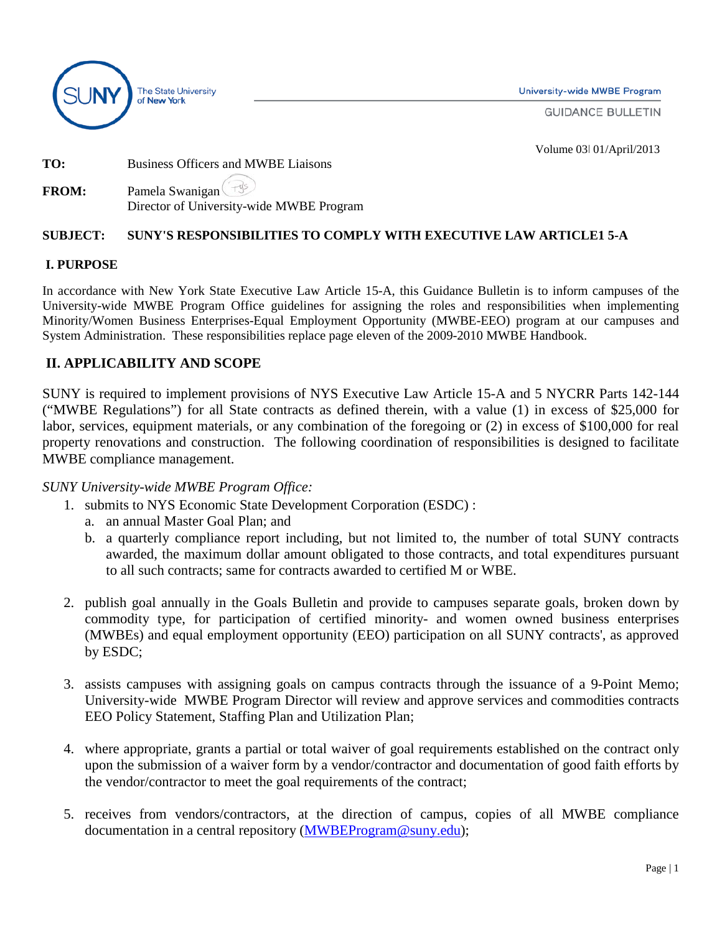

**University-wide MWBE Program** 

**GUIDANCE BULLETIN** 

Volume 03<sup>ǀ</sup> 01/April/2013

| TO: | <b>Business Officers and MWBE Liaisons</b> |  |
|-----|--------------------------------------------|--|
|     |                                            |  |

| <b>FROM:</b> | Pamela Swanigan                          |
|--------------|------------------------------------------|
|              | Director of University-wide MWBE Program |

### **SUBJECT: SUNY'S RESPONSIBILITIES TO COMPLY WITH EXECUTIVE LAW ARTICLE1 5-A**

#### **I. PURPOSE**

In accordance with New York State Executive Law Article 15-A, this Guidance Bulletin is to inform campuses of the University-wide MWBE Program Office guidelines for assigning the roles and responsibilities when implementing Minority/Women Business Enterprises-Equal Employment Opportunity (MWBE-EEO) program at our campuses and System Administration. These responsibilities replace page eleven of the 2009-2010 MWBE Handbook.

# **II. APPLICABILITY AND SCOPE**

SUNY is required to implement provisions of NYS Executive Law Article 15-A and 5 NYCRR Parts 142-144 ("MWBE Regulations") for all State contracts as defined therein, with a value (1) in excess of \$25,000 for labor, services, equipment materials, or any combination of the foregoing or (2) in excess of \$100,000 for real property renovations and construction. The following coordination of responsibilities is designed to facilitate MWBE compliance management.

#### *SUNY University-wide MWBE Program Office:*

- 1. submits to NYS Economic State Development Corporation (ESDC) :
	- a. an annual Master Goal Plan; and
	- b. a quarterly compliance report including, but not limited to, the number of total SUNY contracts awarded, the maximum dollar amount obligated to those contracts, and total expenditures pursuant to all such contracts; same for contracts awarded to certified M or WBE.
- 2. publish goal annually in the Goals Bulletin and provide to campuses separate goals, broken down by commodity type, for participation of certified minority- and women owned business enterprises (MWBEs) and equal employment opportunity (EEO) participation on all SUNY contracts', as approved by ESDC;
- 3. assists campuses with assigning goals on campus contracts through the issuance of a 9-Point Memo; University-wide MWBE Program Director will review and approve services and commodities contracts EEO Policy Statement, Staffing Plan and Utilization Plan;
- 4. where appropriate, grants a partial or total waiver of goal requirements established on the contract only upon the submission of a waiver form by a vendor/contractor and documentation of good faith efforts by the vendor/contractor to meet the goal requirements of the contract;
- 5. receives from vendors/contractors, at the direction of campus, copies of all MWBE compliance documentation in a central repository [\(MWBEProgram@suny.edu\)](mailto:MWBEProgram@suny.edu);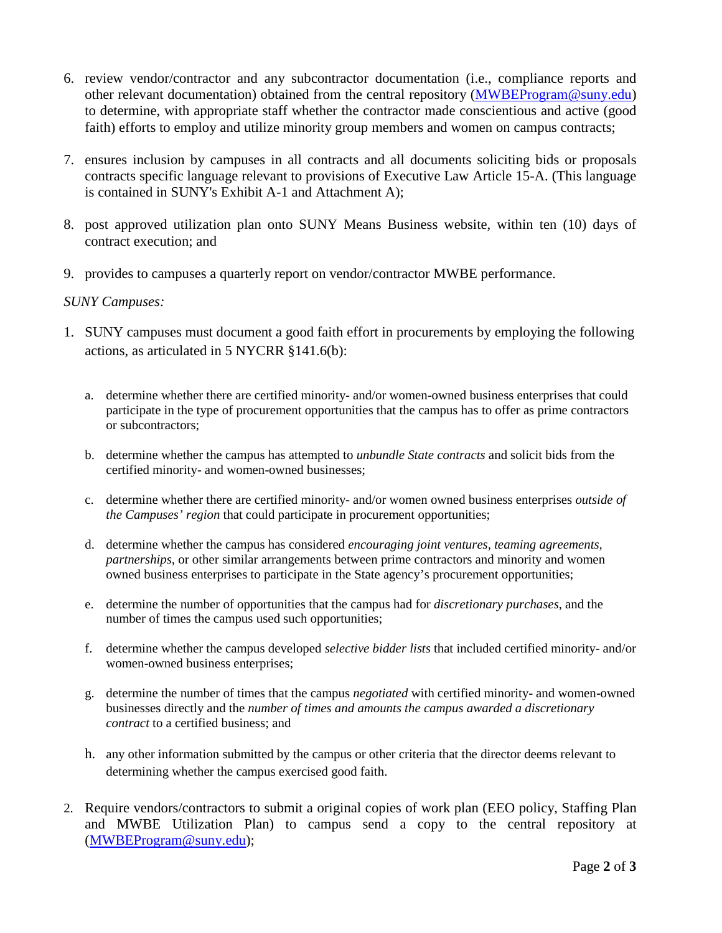- 6. review vendor/contractor and any subcontractor documentation (i.e., compliance reports and other relevant documentation) obtained from the central repository [\(MWBEProgram@suny.edu\)](mailto:MWBEProgram@suny.edu) to determine, with appropriate staff whether the contractor made conscientious and active (good faith) efforts to employ and utilize minority group members and women on campus contracts;
- 7. ensures inclusion by campuses in all contracts and all documents soliciting bids or proposals contracts specific language relevant to provisions of Executive Law Article 15-A. (This language is contained in SUNY's Exhibit A-1 and Attachment A);
- 8. post approved utilization plan onto SUNY Means Business website, within ten (10) days of contract execution; and
- 9. provides to campuses a quarterly report on vendor/contractor MWBE performance.

#### *SUNY Campuses:*

- 1. SUNY campuses must document a good faith effort in procurements by employing the following actions, as articulated in 5 NYCRR §141.6(b):
	- a. determine whether there are certified minority- and/or women-owned business enterprises that could participate in the type of procurement opportunities that the campus has to offer as prime contractors or subcontractors;
	- b. determine whether the campus has attempted to *unbundle State contracts* and solicit bids from the certified minority- and women-owned businesses;
	- c. determine whether there are certified minority- and/or women owned business enterprises *outside of the Campuses' region* that could participate in procurement opportunities;
	- d. determine whether the campus has considered *encouraging joint ventures, teaming agreements, partnerships,* or other similar arrangements between prime contractors and minority and women owned business enterprises to participate in the State agency's procurement opportunities;
	- e. determine the number of opportunities that the campus had for *discretionary purchases*, and the number of times the campus used such opportunities;
	- f. determine whether the campus developed *selective bidder lists* that included certified minority- and/or women-owned business enterprises;
	- g. determine the number of times that the campus *negotiated* with certified minority- and women-owned businesses directly and the *number of times and amounts the campus awarded a discretionary contract* to a certified business; and
	- h. any other information submitted by the campus or other criteria that the director deems relevant to determining whether the campus exercised good faith.
- 2. Require vendors/contractors to submit a original copies of work plan (EEO policy, Staffing Plan and MWBE Utilization Plan) to campus send a copy to the central repository at [\(MWBEProgram@suny.edu\)](mailto:MWBEProgram@suny.edu);